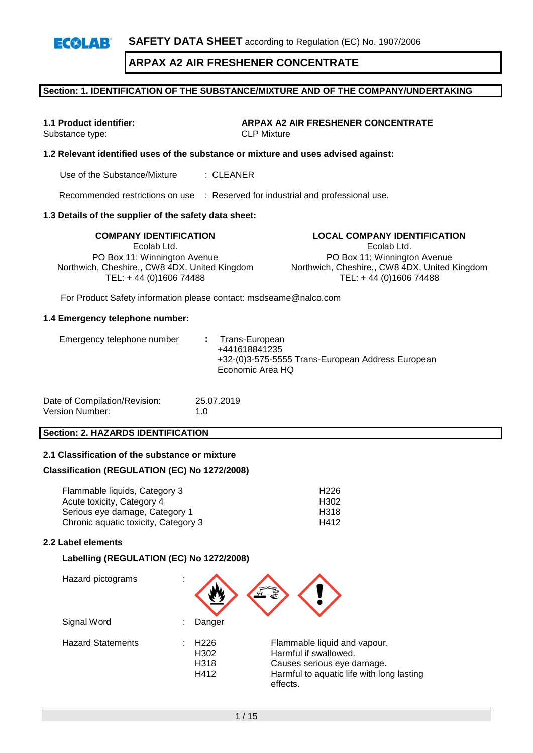**SAFETY DATA SHEET** according to Regulation (EC) No. 1907/2006

# **ARPAX A2 AIR FRESHENER CONCENTRATE**

### **Section: 1. IDENTIFICATION OF THE SUBSTANCE/MIXTURE AND OF THE COMPANY/UNDERTAKING**

 $E(X|A)$ 

**1.1 Product identifier: ARPAX A2 AIR FRESHENER CONCENTRATE** Substance type: CLP Mixture

### **1.2 Relevant identified uses of the substance or mixture and uses advised against:**

Use of the Substance/Mixture : CLEANER

Recommended restrictions on use : Reserved for industrial and professional use.

### **1.3 Details of the supplier of the safety data sheet:**

Ecolab Ltd. PO Box 11; Winnington Avenue Northwich, Cheshire,, CW8 4DX, United Kingdom TEL: + 44 (0)1606 74488

**COMPANY IDENTIFICATION LOCAL COMPANY IDENTIFICATION** Ecolab Ltd. PO Box 11; Winnington Avenue Northwich, Cheshire,, CW8 4DX, United Kingdom TEL: + 44 (0)1606 74488

For Product Safety information please contact: msdseame@nalco.com

### **1.4 Emergency telephone number:**

| Date of Compilation/Revision: | 25.07.2019  |
|-------------------------------|-------------|
| Version Number:               | 1. $\Omega$ |

### **Section: 2. HAZARDS IDENTIFICATION**

### **2.1 Classification of the substance or mixture**

### **Classification (REGULATION (EC) No 1272/2008)**

| Flammable liquids, Category 3        | H <sub>226</sub> |
|--------------------------------------|------------------|
| Acute toxicity, Category 4           | H <sub>302</sub> |
| Serious eye damage, Category 1       | H318             |
| Chronic aquatic toxicity, Category 3 | H412             |

### **2.2 Label elements**

### **Labelling (REGULATION (EC) No 1272/2008)**

| Hazard pictograms        | ٠ |                                          |                                                                                                                                              |
|--------------------------|---|------------------------------------------|----------------------------------------------------------------------------------------------------------------------------------------------|
| Signal Word              |   | Danger                                   |                                                                                                                                              |
| <b>Hazard Statements</b> |   | H <sub>226</sub><br>H302<br>H318<br>H412 | Flammable liquid and vapour.<br>Harmful if swallowed.<br>Causes serious eye damage.<br>Harmful to aquatic life with long lasting<br>effects. |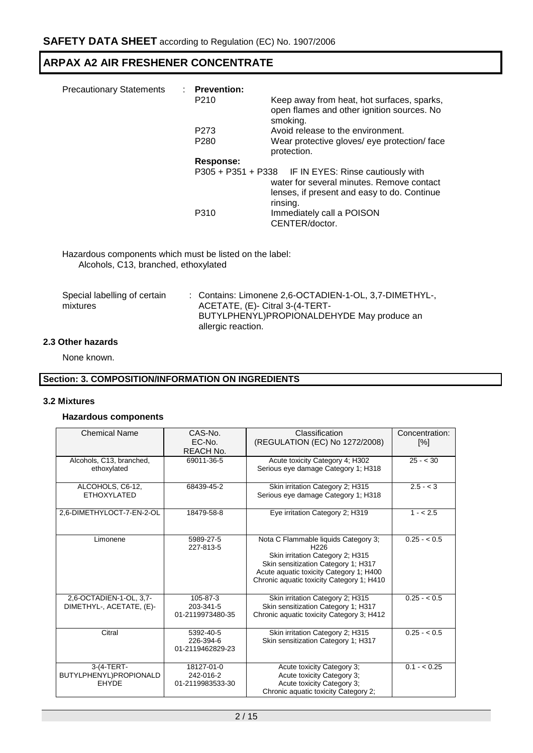| <b>Precautionary Statements</b> | : Prevention:    |                                                      |
|---------------------------------|------------------|------------------------------------------------------|
|                                 | P <sub>210</sub> | Keep away from heat, hot surfaces, sparks,           |
|                                 |                  | open flames and other ignition sources. No           |
|                                 |                  | smoking.                                             |
|                                 | P <sub>273</sub> | Avoid release to the environment.                    |
|                                 | P <sub>280</sub> | Wear protective gloves/ eye protection/ face         |
|                                 |                  | protection.                                          |
|                                 | Response:        |                                                      |
|                                 |                  | P305 + P351 + P338 IF IN EYES: Rinse cautiously with |
|                                 |                  | water for several minutes. Remove contact            |
|                                 |                  | lenses, if present and easy to do. Continue          |
|                                 |                  | rinsing.                                             |
|                                 | P310             |                                                      |
|                                 |                  | Immediately call a POISON                            |
|                                 |                  | CENTER/doctor.                                       |

Hazardous components which must be listed on the label: Alcohols, C13, branched, ethoxylated

| Special labelling of certain | : Contains: Limonene 2,6-OCTADIEN-1-OL, 3,7-DIMETHYL-, |
|------------------------------|--------------------------------------------------------|
| mixtures                     | ACETATE, (E)- Citral 3-(4-TERT-                        |
|                              | BUTYLPHENYL)PROPIONALDEHYDE May produce an             |
|                              | allergic reaction.                                     |

### **2.3 Other hazards**

None known.

### **Section: 3. COMPOSITION/INFORMATION ON INGREDIENTS**

### **3.2 Mixtures**

### **Hazardous components**

| <b>Chemical Name</b>                                 | CAS-No.<br>EC-No.<br>REACH No.              | Classification<br>(REGULATION (EC) No 1272/2008)                                                                                                                                                                            | Concentration:<br>[%] |
|------------------------------------------------------|---------------------------------------------|-----------------------------------------------------------------------------------------------------------------------------------------------------------------------------------------------------------------------------|-----------------------|
| Alcohols, C13, branched,<br>ethoxylated              | 69011-36-5                                  | Acute toxicity Category 4; H302<br>Serious eye damage Category 1; H318                                                                                                                                                      | $25 - < 30$           |
| ALCOHOLS, C6-12,<br><b>ETHOXYLATED</b>               | 68439-45-2                                  | Skin irritation Category 2; H315<br>Serious eye damage Category 1; H318                                                                                                                                                     | $\sqrt{2.5} - 3$      |
| 2,6-DIMETHYLOCT-7-EN-2-OL                            | 18479-58-8                                  | Eye irritation Category 2; H319                                                                                                                                                                                             | $1 - 2.5$             |
| Limonene                                             | 5989-27-5<br>227-813-5                      | Nota C Flammable liquids Category 3;<br>H <sub>226</sub><br>Skin irritation Category 2; H315<br>Skin sensitization Category 1; H317<br>Acute aquatic toxicity Category 1; H400<br>Chronic aquatic toxicity Category 1; H410 | $0.25 - 0.5$          |
| 2.6-OCTADIEN-1-OL. 3.7-<br>DIMETHYL-, ACETATE, (E)-  | 105-87-3<br>203-341-5<br>01-2119973480-35   | Skin irritation Category 2; H315<br>Skin sensitization Category 1; H317<br>Chronic aquatic toxicity Category 3; H412                                                                                                        | $0.25 - 0.5$          |
| Citral                                               | 5392-40-5<br>226-394-6<br>01-2119462829-23  | Skin irritation Category 2; H315<br>Skin sensitization Category 1; H317                                                                                                                                                     | $0.25 - < 0.5$        |
| 3-(4-TERT-<br>BUTYLPHENYL)PROPIONALD<br><b>EHYDE</b> | 18127-01-0<br>242-016-2<br>01-2119983533-30 | Acute toxicity Category 3;<br>Acute toxicity Category 3:<br>Acute toxicity Category 3:<br>Chronic aquatic toxicity Category 2;                                                                                              | $0.1 - < 0.25$        |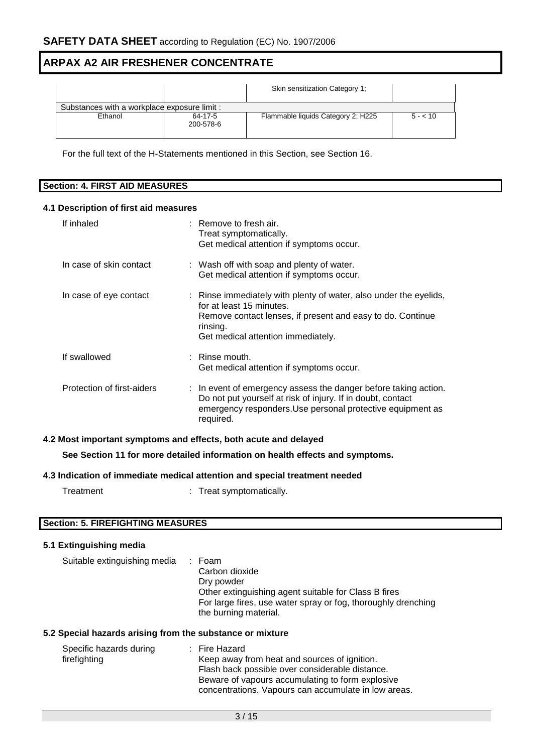|                                              |                      | Skin sensitization Category 1:     |          |
|----------------------------------------------|----------------------|------------------------------------|----------|
| Substances with a workplace exposure limit : |                      |                                    |          |
| Ethanol                                      | 64-17-5<br>200-578-6 | Flammable liquids Category 2; H225 | $5 - 10$ |

For the full text of the H-Statements mentioned in this Section, see Section 16.

| Section:<br><b>FIRST AID MEASURES</b><br>4. I |  |
|-----------------------------------------------|--|

### **4.1 Description of first aid measures**

| If inhaled                 | $:$ Remove to fresh air.<br>Treat symptomatically.<br>Get medical attention if symptoms occur.                                                                                                                       |
|----------------------------|----------------------------------------------------------------------------------------------------------------------------------------------------------------------------------------------------------------------|
| In case of skin contact    | : Wash off with soap and plenty of water.<br>Get medical attention if symptoms occur.                                                                                                                                |
| In case of eye contact     | : Rinse immediately with plenty of water, also under the eyelids,<br>for at least 15 minutes.<br>Remove contact lenses, if present and easy to do. Continue<br>rinsing.<br>Get medical attention immediately.        |
| If swallowed               | $\therefore$ Rinse mouth.<br>Get medical attention if symptoms occur.                                                                                                                                                |
| Protection of first-aiders | $\therefore$ In event of emergency assess the danger before taking action.<br>Do not put yourself at risk of injury. If in doubt, contact<br>emergency responders. Use personal protective equipment as<br>required. |

### **4.2 Most important symptoms and effects, both acute and delayed**

**See Section 11 for more detailed information on health effects and symptoms.**

### **4.3 Indication of immediate medical attention and special treatment needed**

| Treatment | Treat symptomatically. |
|-----------|------------------------|
|           |                        |

### **Section: 5. FIREFIGHTING MEASURES**

### **5.1 Extinguishing media**

| Suitable extinguishing media | : Foam<br>Carbon dioxide<br>Dry powder<br>Other extinguishing agent suitable for Class B fires<br>For large fires, use water spray or fog, thoroughly drenching<br>the burning material. |
|------------------------------|------------------------------------------------------------------------------------------------------------------------------------------------------------------------------------------|
|------------------------------|------------------------------------------------------------------------------------------------------------------------------------------------------------------------------------------|

### **5.2 Special hazards arising from the substance or mixture**

| Specific hazards during<br>firefighting | : Fire Hazard<br>Keep away from heat and sources of ignition.<br>Flash back possible over considerable distance.<br>Beware of vapours accumulating to form explosive |
|-----------------------------------------|----------------------------------------------------------------------------------------------------------------------------------------------------------------------|
|                                         | concentrations. Vapours can accumulate in low areas.                                                                                                                 |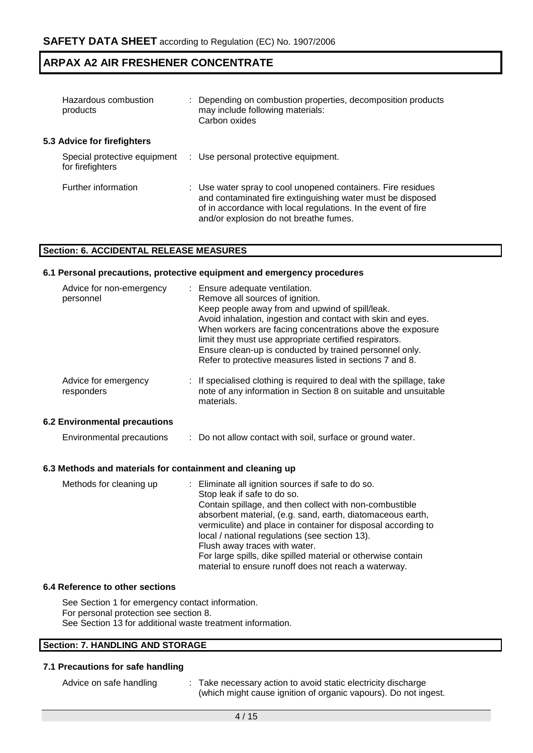| Hazardous combustion<br>products                 | : Depending on combustion properties, decomposition products<br>may include following materials:<br>Carbon oxides                                                                                                                     |
|--------------------------------------------------|---------------------------------------------------------------------------------------------------------------------------------------------------------------------------------------------------------------------------------------|
| 5.3 Advice for firefighters                      |                                                                                                                                                                                                                                       |
| Special protective equipment<br>for firefighters | : Use personal protective equipment.                                                                                                                                                                                                  |
| Further information                              | : Use water spray to cool unopened containers. Fire residues<br>and contaminated fire extinguishing water must be disposed<br>of in accordance with local regulations. In the event of fire<br>and/or explosion do not breathe fumes. |

### **Section: 6. ACCIDENTAL RELEASE MEASURES**

### **6.1 Personal precautions, protective equipment and emergency procedures**

| Advice for non-emergency<br>personnel | : Ensure adequate ventilation.<br>Remove all sources of ignition.<br>Keep people away from and upwind of spill/leak.<br>Avoid inhalation, ingestion and contact with skin and eyes.<br>When workers are facing concentrations above the exposure<br>limit they must use appropriate certified respirators.<br>Ensure clean-up is conducted by trained personnel only.<br>Refer to protective measures listed in sections 7 and 8. |
|---------------------------------------|-----------------------------------------------------------------------------------------------------------------------------------------------------------------------------------------------------------------------------------------------------------------------------------------------------------------------------------------------------------------------------------------------------------------------------------|
| Advice for emergency<br>responders    | : If specialised clothing is required to deal with the spillage, take<br>note of any information in Section 8 on suitable and unsuitable<br>materials.                                                                                                                                                                                                                                                                            |
| 6.2 Environmental precautions         |                                                                                                                                                                                                                                                                                                                                                                                                                                   |

Environmental precautions : Do not allow contact with soil, surface or ground water.

### **6.3 Methods and materials for containment and cleaning up**

| Methods for cleaning up | : Eliminate all ignition sources if safe to do so.            |
|-------------------------|---------------------------------------------------------------|
|                         | Stop leak if safe to do so.                                   |
|                         | Contain spillage, and then collect with non-combustible       |
|                         | absorbent material, (e.g. sand, earth, diatomaceous earth,    |
|                         | vermiculite) and place in container for disposal according to |
|                         | local / national regulations (see section 13).                |
|                         | Flush away traces with water.                                 |
|                         | For large spills, dike spilled material or otherwise contain  |
|                         | material to ensure runoff does not reach a waterway.          |

### **6.4 Reference to other sections**

See Section 1 for emergency contact information. For personal protection see section 8. See Section 13 for additional waste treatment information.

### **Section: 7. HANDLING AND STORAGE**

### **7.1 Precautions for safe handling**

| Advice on safe handling | Take necessary action to avoid static electricity discharge     |
|-------------------------|-----------------------------------------------------------------|
|                         | (which might cause ignition of organic vapours). Do not ingest. |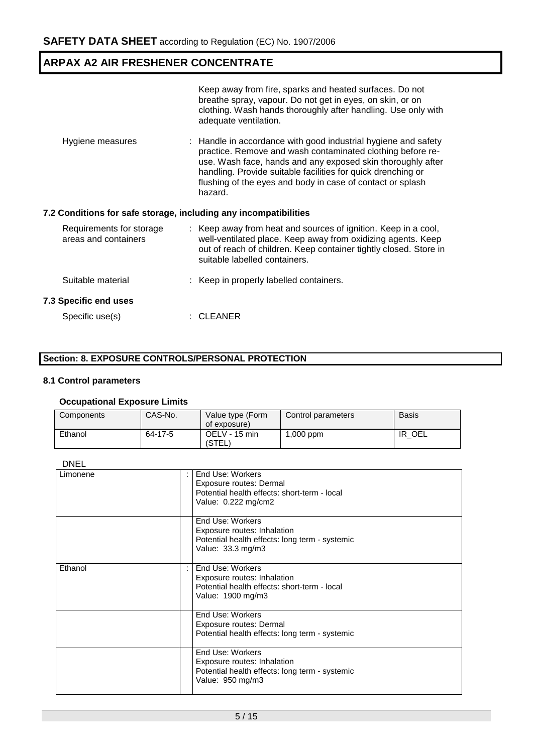|                                                                  | Keep away from fire, sparks and heated surfaces. Do not<br>breathe spray, vapour. Do not get in eyes, on skin, or on<br>clothing. Wash hands thoroughly after handling. Use only with<br>adequate ventilation.                                                                                                                       |
|------------------------------------------------------------------|--------------------------------------------------------------------------------------------------------------------------------------------------------------------------------------------------------------------------------------------------------------------------------------------------------------------------------------|
| Hygiene measures                                                 | : Handle in accordance with good industrial hygiene and safety<br>practice. Remove and wash contaminated clothing before re-<br>use. Wash face, hands and any exposed skin thoroughly after<br>handling. Provide suitable facilities for quick drenching or<br>flushing of the eyes and body in case of contact or splash<br>hazard. |
| 7.2 Conditions for safe storage, including any incompatibilities |                                                                                                                                                                                                                                                                                                                                      |
|                                                                  |                                                                                                                                                                                                                                                                                                                                      |
| Requirements for storage<br>areas and containers                 | : Keep away from heat and sources of ignition. Keep in a cool,<br>well-ventilated place. Keep away from oxidizing agents. Keep<br>out of reach of children. Keep container tightly closed. Store in<br>suitable labelled containers.                                                                                                 |
| Suitable material                                                | : Keep in properly labelled containers.                                                                                                                                                                                                                                                                                              |
| <b>7.3 Specific end uses</b>                                     |                                                                                                                                                                                                                                                                                                                                      |

### **Section: 8. EXPOSURE CONTROLS/PERSONAL PROTECTION**

# **8.1 Control parameters**

### **Occupational Exposure Limits**

| Components | CAS-No. | Value type (Form<br>of exposure) | Control parameters | <b>Basis</b> |
|------------|---------|----------------------------------|--------------------|--------------|
| Ethanol    | 64-17-5 | OELV - 15 min<br>(STEL)          | mqq 000, l         | OEL<br>IR    |

| ۰, |
|----|
|----|

| Limonene | End Use: Workers<br>Exposure routes: Dermal<br>Potential health effects: short-term - local<br>Value: 0.222 mg/cm2     |
|----------|------------------------------------------------------------------------------------------------------------------------|
|          | End Use: Workers<br>Exposure routes: Inhalation<br>Potential health effects: long term - systemic<br>Value: 33.3 mg/m3 |
| Ethanol  | End Use: Workers<br>Exposure routes: Inhalation<br>Potential health effects: short-term - local<br>Value: 1900 mg/m3   |
|          | End Use: Workers<br>Exposure routes: Dermal<br>Potential health effects: long term - systemic                          |
|          | End Use: Workers<br>Exposure routes: Inhalation<br>Potential health effects: long term - systemic<br>Value: 950 mg/m3  |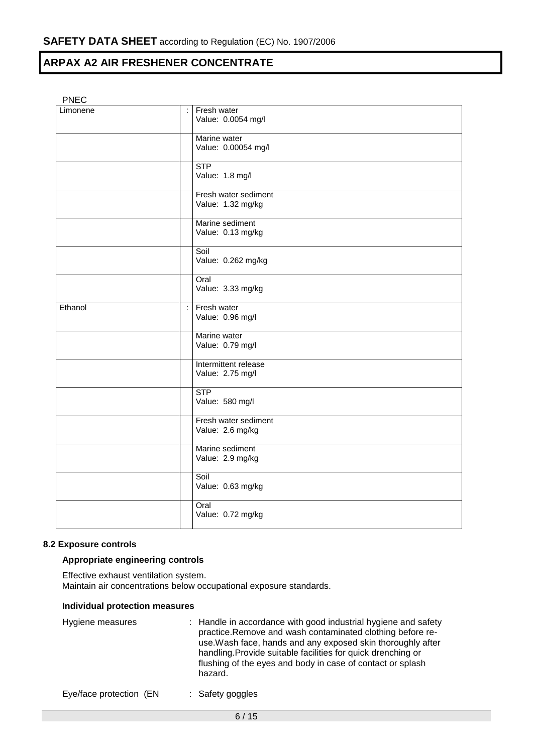### PNEC

| Limonene | ÷                         | Fresh water<br>Value: 0.0054 mg/l         |
|----------|---------------------------|-------------------------------------------|
|          |                           | Marine water<br>Value: 0.00054 mg/l       |
|          |                           | <b>STP</b><br>Value: 1.8 mg/l             |
|          |                           | Fresh water sediment<br>Value: 1.32 mg/kg |
|          |                           | Marine sediment<br>Value: 0.13 mg/kg      |
|          |                           | Soil<br>Value: 0.262 mg/kg                |
|          |                           | Oral<br>Value: 3.33 mg/kg                 |
| Ethanol  | $\mathbb{R}^{\mathbb{Z}}$ | Fresh water<br>Value: 0.96 mg/l           |
|          |                           | Marine water<br>Value: 0.79 mg/l          |
|          |                           | Intermittent release<br>Value: 2.75 mg/l  |
|          |                           | <b>STP</b><br>Value: 580 mg/l             |
|          |                           | Fresh water sediment<br>Value: 2.6 mg/kg  |
|          |                           | Marine sediment<br>Value: 2.9 mg/kg       |
|          |                           | Soil<br>Value: 0.63 mg/kg                 |
|          |                           | Oral<br>Value: 0.72 mg/kg                 |

### **8.2 Exposure controls**

### **Appropriate engineering controls**

Effective exhaust ventilation system. Maintain air concentrations below occupational exposure standards.

### **Individual protection measures**

| Hygiene measures | : Handle in accordance with good industrial hygiene and safety<br>practice.Remove and wash contaminated clothing before re-<br>use. Wash face, hands and any exposed skin thoroughly after<br>handling. Provide suitable facilities for quick drenching or<br>flushing of the eyes and body in case of contact or splash<br>hazard. |
|------------------|-------------------------------------------------------------------------------------------------------------------------------------------------------------------------------------------------------------------------------------------------------------------------------------------------------------------------------------|
|                  |                                                                                                                                                                                                                                                                                                                                     |

Eye/face protection (EN : Safety goggles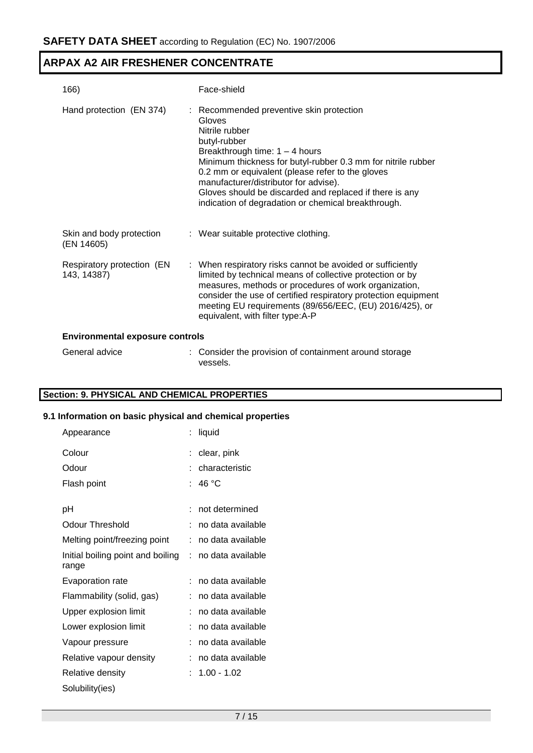| 166)                                      | Face-shield                                                                                                                                                                                                                                                                                                                                                                                             |
|-------------------------------------------|---------------------------------------------------------------------------------------------------------------------------------------------------------------------------------------------------------------------------------------------------------------------------------------------------------------------------------------------------------------------------------------------------------|
| Hand protection (EN 374)                  | : Recommended preventive skin protection<br>Gloves<br>Nitrile rubber<br>butyl-rubber<br>Breakthrough time: $1 - 4$ hours<br>Minimum thickness for butyl-rubber 0.3 mm for nitrile rubber<br>0.2 mm or equivalent (please refer to the gloves<br>manufacturer/distributor for advise).<br>Gloves should be discarded and replaced if there is any<br>indication of degradation or chemical breakthrough. |
| Skin and body protection<br>(EN 14605)    | : Wear suitable protective clothing.                                                                                                                                                                                                                                                                                                                                                                    |
| Respiratory protection (EN<br>143, 14387) | : When respiratory risks cannot be avoided or sufficiently<br>limited by technical means of collective protection or by<br>measures, methods or procedures of work organization,<br>consider the use of certified respiratory protection equipment<br>meeting EU requirements (89/656/EEC, (EU) 2016/425), or<br>equivalent, with filter type:A-P                                                       |
| <b>Environmental exposure controls</b>    |                                                                                                                                                                                                                                                                                                                                                                                                         |
| General advice                            | : Consider the provision of containment around storage<br>vessels.                                                                                                                                                                                                                                                                                                                                      |

# **Section: 9. PHYSICAL AND CHEMICAL PROPERTIES**

### **9.1 Information on basic physical and chemical properties**

| Appearance                                   | liquid            |
|----------------------------------------------|-------------------|
| Colour                                       | clear, pink       |
| Odour                                        | characteristic    |
| Flash point                                  | 46 °C             |
|                                              |                   |
| рH                                           | not determined    |
| <b>Odour Threshold</b>                       | no data available |
| Melting point/freezing point                 | no data available |
| Initial boiling point and boiling :<br>range | no data available |
| Evaporation rate                             | no data available |
| Flammability (solid, gas)                    | no data available |
| Upper explosion limit                        | no data available |
| Lower explosion limit                        | no data available |
| Vapour pressure                              | no data available |
| Relative vapour density                      | no data available |
| Relative density                             | $1.00 - 1.02$     |
| Solubility(ies)                              |                   |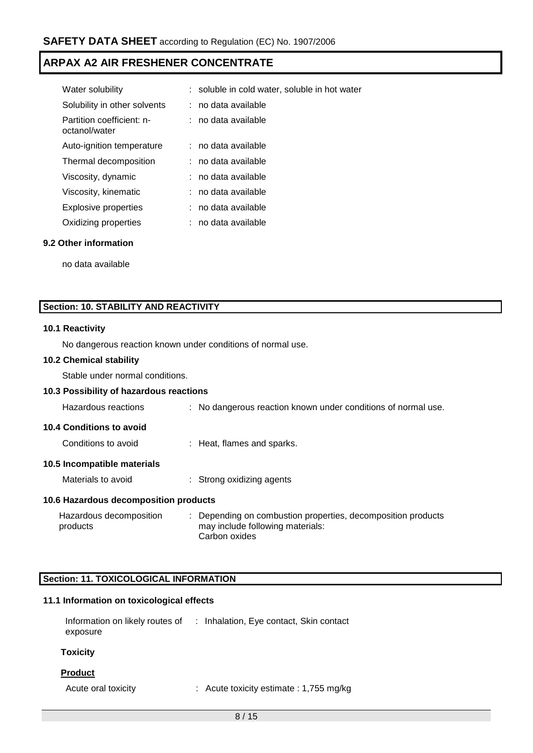| Water solubility                           | : soluble in cold water, soluble in hot water |
|--------------------------------------------|-----------------------------------------------|
| Solubility in other solvents               | : no data available                           |
| Partition coefficient: n-<br>octanol/water | : no data available                           |
| Auto-ignition temperature                  | $:$ no data available                         |
| Thermal decomposition                      | : no data available                           |
| Viscosity, dynamic                         | : no data available                           |
| Viscosity, kinematic                       | : no data available                           |
| <b>Explosive properties</b>                | : no data available                           |
| Oxidizing properties                       | no data available                             |
|                                            |                                               |

### **9.2 Other information**

no data available

### **Section: 10. STABILITY AND REACTIVITY**

### **10.1 Reactivity**

No dangerous reaction known under conditions of normal use.

### **10.2 Chemical stability**

Stable under normal conditions.

### **10.3 Possibility of hazardous reactions**

| Hazardous reactions                   | : No dangerous reaction known under conditions of normal use.                                                     |
|---------------------------------------|-------------------------------------------------------------------------------------------------------------------|
| <b>10.4 Conditions to avoid</b>       |                                                                                                                   |
| Conditions to avoid                   | : Heat, flames and sparks.                                                                                        |
| 10.5 Incompatible materials           |                                                                                                                   |
| Materials to avoid                    | : Strong oxidizing agents                                                                                         |
| 10.6 Hazardous decomposition products |                                                                                                                   |
| Hazardous decomposition<br>products   | : Depending on combustion properties, decomposition products<br>may include following materials:<br>Carbon oxides |

### **Section: 11. TOXICOLOGICAL INFORMATION**

### **11.1 Information on toxicological effects**

| Information on likely routes of | : Inhalation, Eye contact, Skin contact |
|---------------------------------|-----------------------------------------|
| exposure                        |                                         |

### **Toxicity**

### **Product**

Acute oral toxicity : Acute toxicity estimate : 1,755 mg/kg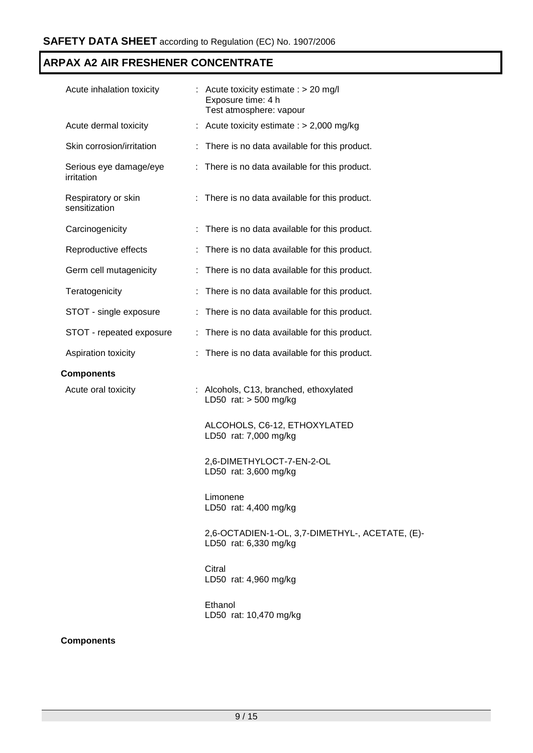| Acute inhalation toxicity            | : Acute toxicity estimate : $> 20$ mg/l<br>Exposure time: 4 h<br>Test atmosphere: vapour |  |
|--------------------------------------|------------------------------------------------------------------------------------------|--|
| Acute dermal toxicity                | Acute toxicity estimate : $> 2,000$ mg/kg                                                |  |
| Skin corrosion/irritation            | There is no data available for this product.                                             |  |
| Serious eye damage/eye<br>irritation | There is no data available for this product.                                             |  |
| Respiratory or skin<br>sensitization | : There is no data available for this product.                                           |  |
| Carcinogenicity                      | : There is no data available for this product.                                           |  |
| Reproductive effects                 | There is no data available for this product.<br>÷.                                       |  |
| Germ cell mutagenicity               | There is no data available for this product.<br>÷.                                       |  |
| Teratogenicity                       | There is no data available for this product.                                             |  |
| STOT - single exposure               | There is no data available for this product.                                             |  |
| STOT - repeated exposure             | : There is no data available for this product.                                           |  |
| Aspiration toxicity                  | There is no data available for this product.                                             |  |
| <b>Components</b>                    |                                                                                          |  |
| Acute oral toxicity                  | : Alcohols, C13, branched, ethoxylated<br>LD50 rat: $>$ 500 mg/kg                        |  |
|                                      | ALCOHOLS, C6-12, ETHOXYLATED<br>LD50 rat: 7,000 mg/kg                                    |  |
|                                      | 2,6-DIMETHYLOCT-7-EN-2-OL<br>LD50 rat: 3,600 mg/kg                                       |  |
|                                      | Limonene<br>LD50 rat: 4,400 mg/kg                                                        |  |
|                                      | 2,6-OCTADIEN-1-OL, 3,7-DIMETHYL-, ACETATE, (E)-<br>LD50 rat: 6,330 mg/kg                 |  |
|                                      | Citral<br>LD50 rat: 4,960 mg/kg                                                          |  |
|                                      | Ethanol<br>LD50 rat: 10,470 mg/kg                                                        |  |
|                                      |                                                                                          |  |

### **Components**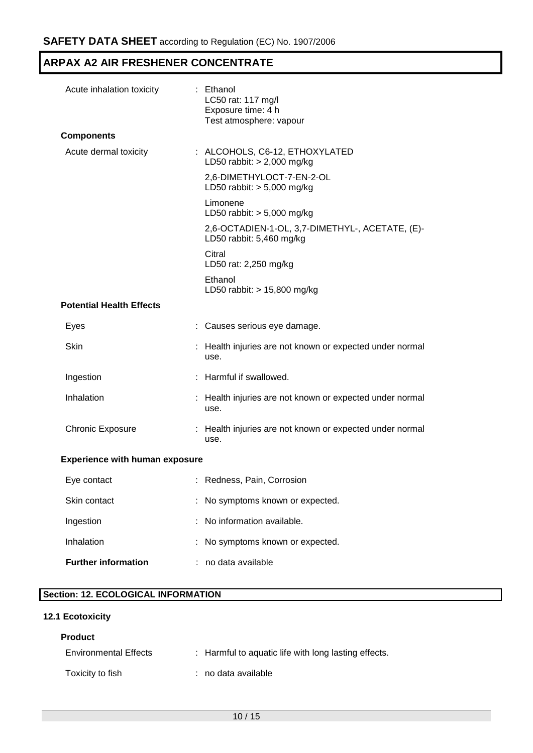| Acute inhalation toxicity             |  | : Ethanol<br>LC50 rat: 117 mg/l<br>Exposure time: 4 h<br>Test atmosphere: vapour |  |  |  |
|---------------------------------------|--|----------------------------------------------------------------------------------|--|--|--|
| <b>Components</b>                     |  |                                                                                  |  |  |  |
| Acute dermal toxicity                 |  | : ALCOHOLS, C6-12, ETHOXYLATED<br>LD50 rabbit: $> 2,000$ mg/kg                   |  |  |  |
|                                       |  | 2,6-DIMETHYLOCT-7-EN-2-OL<br>LD50 rabbit: $> 5,000$ mg/kg                        |  |  |  |
|                                       |  | Limonene<br>LD50 rabbit: $> 5,000$ mg/kg                                         |  |  |  |
|                                       |  | 2,6-OCTADIEN-1-OL, 3,7-DIMETHYL-, ACETATE, (E)-<br>LD50 rabbit: 5,460 mg/kg      |  |  |  |
|                                       |  | Citral<br>LD50 rat: 2,250 mg/kg                                                  |  |  |  |
|                                       |  | Ethanol<br>LD50 rabbit: $> 15,800$ mg/kg                                         |  |  |  |
| <b>Potential Health Effects</b>       |  |                                                                                  |  |  |  |
| Eyes                                  |  | : Causes serious eye damage.                                                     |  |  |  |
| Skin                                  |  | Health injuries are not known or expected under normal<br>use.                   |  |  |  |
| Ingestion                             |  | : Harmful if swallowed.                                                          |  |  |  |
| Inhalation                            |  | : Health injuries are not known or expected under normal<br>use.                 |  |  |  |
| <b>Chronic Exposure</b>               |  | : Health injuries are not known or expected under normal<br>use.                 |  |  |  |
| <b>Experience with human exposure</b> |  |                                                                                  |  |  |  |
| Eye contact                           |  | Redness, Pain, Corrosion                                                         |  |  |  |
| Skin contact                          |  | No symptoms known or expected.                                                   |  |  |  |
| Ingestion                             |  | No information available.                                                        |  |  |  |
| Inhalation                            |  | No symptoms known or expected.                                                   |  |  |  |

# **Section: 12. ECOLOGICAL INFORMATION**

**Further information** : no data available

# **12.1 Ecotoxicity**

### **Product**

| <b>Environmental Effects</b> | : Harmful to aquatic life with long lasting effects. |
|------------------------------|------------------------------------------------------|
| Toxicity to fish             | : no data available                                  |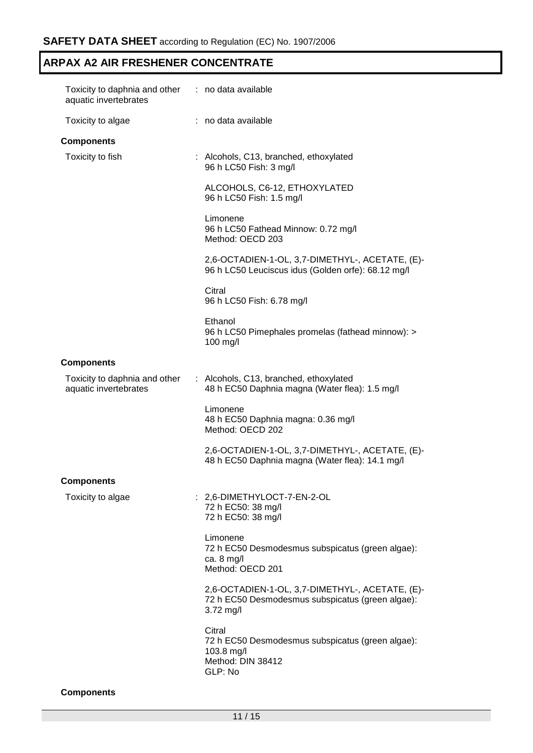| Toxicity to daphnia and other : no data available<br>aquatic invertebrates |                                                                                                                  |
|----------------------------------------------------------------------------|------------------------------------------------------------------------------------------------------------------|
| Toxicity to algae                                                          | : no data available                                                                                              |
| <b>Components</b>                                                          |                                                                                                                  |
| Toxicity to fish                                                           | : Alcohols, C13, branched, ethoxylated<br>96 h LC50 Fish: 3 mg/l                                                 |
|                                                                            | ALCOHOLS, C6-12, ETHOXYLATED<br>96 h LC50 Fish: 1.5 mg/l                                                         |
|                                                                            | Limonene<br>96 h LC50 Fathead Minnow: 0.72 mg/l<br>Method: OECD 203                                              |
|                                                                            | 2,6-OCTADIEN-1-OL, 3,7-DIMETHYL-, ACETATE, (E)-<br>96 h LC50 Leuciscus idus (Golden orfe): 68.12 mg/l            |
|                                                                            | Citral<br>96 h LC50 Fish: 6.78 mg/l                                                                              |
|                                                                            | Ethanol<br>96 h LC50 Pimephales promelas (fathead minnow): ><br>100 mg/l                                         |
| <b>Components</b>                                                          |                                                                                                                  |
| Toxicity to daphnia and other<br>aquatic invertebrates                     | : Alcohols, C13, branched, ethoxylated<br>48 h EC50 Daphnia magna (Water flea): 1.5 mg/l                         |
|                                                                            | Limonene<br>48 h EC50 Daphnia magna: 0.36 mg/l<br>Method: OECD 202                                               |
|                                                                            | 2,6-OCTADIEN-1-OL, 3,7-DIMETHYL-, ACETATE, (E)-<br>48 h EC50 Daphnia magna (Water flea): 14.1 mg/l               |
| <b>Components</b>                                                          |                                                                                                                  |
| Toxicity to algae                                                          | : 2,6-DIMETHYLOCT-7-EN-2-OL<br>72 h EC50: 38 mg/l<br>72 h EC50: 38 mg/l                                          |
|                                                                            | Limonene<br>72 h EC50 Desmodesmus subspicatus (green algae):<br>ca. $8 \text{ mg/l}$<br>Method: OECD 201         |
|                                                                            | 2,6-OCTADIEN-1-OL, 3,7-DIMETHYL-, ACETATE, (E)-<br>72 h EC50 Desmodesmus subspicatus (green algae):<br>3.72 mg/l |
|                                                                            | Citral<br>72 h EC50 Desmodesmus subspicatus (green algae):<br>103.8 mg/l<br>Method: DIN 38412<br>GLP: No         |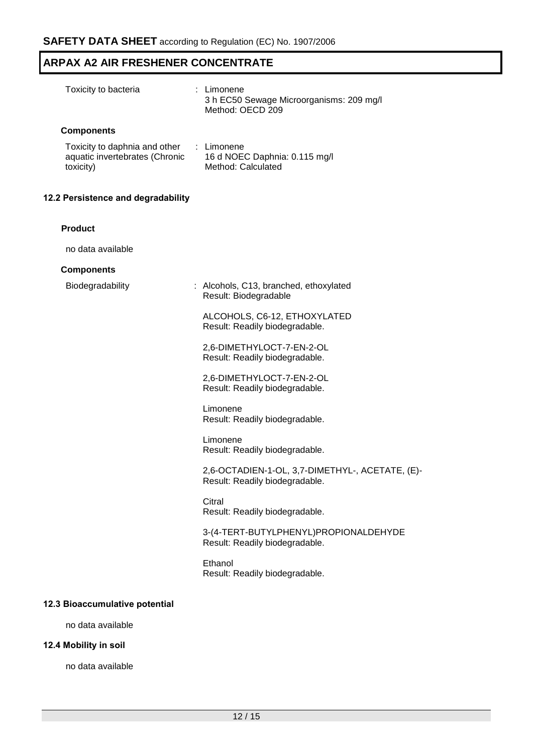| Toxicity to bacteria                                                         | : Limonene<br>3 h EC50 Sewage Microorganisms: 209 mg/l<br>Method: OECD 209        |
|------------------------------------------------------------------------------|-----------------------------------------------------------------------------------|
| <b>Components</b>                                                            |                                                                                   |
| Toxicity to daphnia and other<br>aquatic invertebrates (Chronic<br>toxicity) | : Limonene<br>16 d NOEC Daphnia: 0.115 mg/l<br>Method: Calculated                 |
| 12.2 Persistence and degradability                                           |                                                                                   |
| <b>Product</b>                                                               |                                                                                   |
| no data available                                                            |                                                                                   |
| <b>Components</b>                                                            |                                                                                   |
| Biodegradability                                                             | : Alcohols, C13, branched, ethoxylated<br>Result: Biodegradable                   |
|                                                                              | ALCOHOLS, C6-12, ETHOXYLATED<br>Result: Readily biodegradable.                    |
|                                                                              | 2,6-DIMETHYLOCT-7-EN-2-OL<br>Result: Readily biodegradable.                       |
|                                                                              | 2,6-DIMETHYLOCT-7-EN-2-OL<br>Result: Readily biodegradable.                       |
|                                                                              | Limonene<br>Result: Readily biodegradable.                                        |
|                                                                              | Limonene<br>Result: Readily biodegradable.                                        |
|                                                                              | 2,6-OCTADIEN-1-OL, 3,7-DIMETHYL-, ACETATE, (E)-<br>Result: Readily biodegradable. |
|                                                                              | Citral<br>Result: Readily biodegradable.                                          |
|                                                                              | 3-(4-TERT-BUTYLPHENYL)PROPIONALDEHYDE<br>Result: Readily biodegradable.           |
|                                                                              | Ethanol<br>Result: Readily biodegradable.                                         |
| 12.3 Bioaccumulative potential                                               |                                                                                   |
| no data available                                                            |                                                                                   |

# **12.4 Mobility in soil**

no data available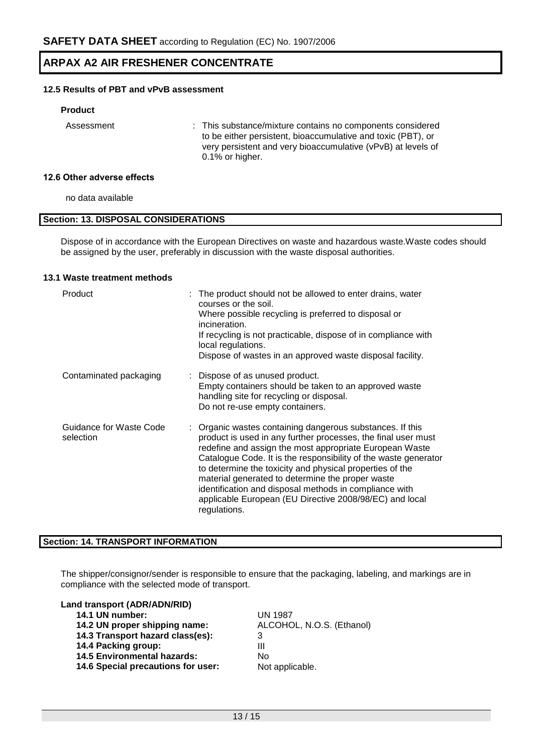### **12.5 Results of PBT and vPvB assessment**

### **Product**

Assessment : This substance/mixture contains no components considered to be either persistent, bioaccumulative and toxic (PBT), or very persistent and very bioaccumulative (vPvB) at levels of 0.1% or higher.

### **12.6 Other adverse effects**

no data available

### **Section: 13. DISPOSAL CONSIDERATIONS**

Dispose of in accordance with the European Directives on waste and hazardous waste.Waste codes should be assigned by the user, preferably in discussion with the waste disposal authorities.

### **13.1 Waste treatment methods**

| Product                              | : The product should not be allowed to enter drains, water<br>courses or the soil.<br>Where possible recycling is preferred to disposal or<br>incineration.<br>If recycling is not practicable, dispose of in compliance with<br>local regulations.<br>Dispose of wastes in an approved waste disposal facility.                                                                                                                                                                                              |
|--------------------------------------|---------------------------------------------------------------------------------------------------------------------------------------------------------------------------------------------------------------------------------------------------------------------------------------------------------------------------------------------------------------------------------------------------------------------------------------------------------------------------------------------------------------|
| Contaminated packaging               | : Dispose of as unused product.<br>Empty containers should be taken to an approved waste<br>handling site for recycling or disposal.<br>Do not re-use empty containers.                                                                                                                                                                                                                                                                                                                                       |
| Guidance for Waste Code<br>selection | : Organic wastes containing dangerous substances. If this<br>product is used in any further processes, the final user must<br>redefine and assign the most appropriate European Waste<br>Catalogue Code. It is the responsibility of the waste generator<br>to determine the toxicity and physical properties of the<br>material generated to determine the proper waste<br>identification and disposal methods in compliance with<br>applicable European (EU Directive 2008/98/EC) and local<br>regulations. |

### **Section: 14. TRANSPORT INFORMATION**

The shipper/consignor/sender is responsible to ensure that the packaging, labeling, and markings are in compliance with the selected mode of transport.

### **Land transport (ADR/ADN/RID)**

|  |  | 14.1 UN number: |
|--|--|-----------------|
|--|--|-----------------|

- **14.2 UN proper shipping name:** ALCOHOL, N.O.S. (Ethanol)
- **14.3 Transport hazard class(es):** 3
- **14.4 Packing group:** III
- **14.5 Environmental hazards:** No

14.6 Special precautions for user: Not applicable.

**14.1 UN number:** UN 1987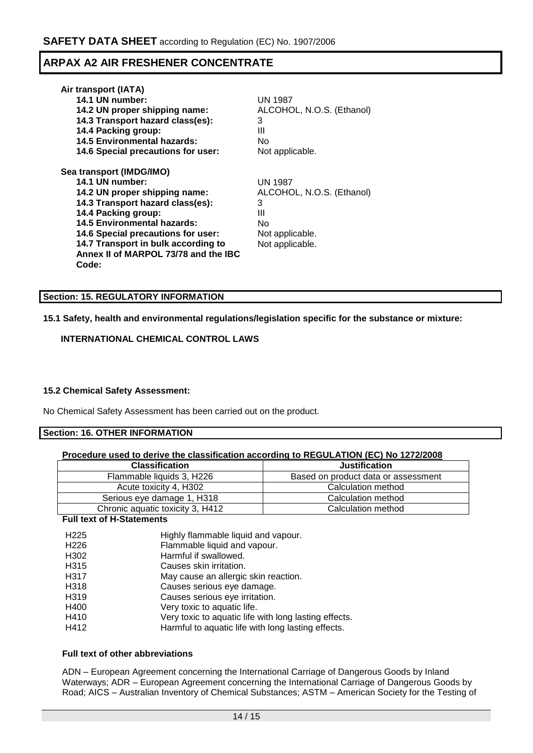| Air transport (IATA)                 |                           |
|--------------------------------------|---------------------------|
| 14.1 UN number:                      | UN 1987                   |
| 14.2 UN proper shipping name:        | ALCOHOL, N.O.S. (Ethanol) |
| 14.3 Transport hazard class(es):     | 3                         |
| 14.4 Packing group:                  | Ш                         |
| <b>14.5 Environmental hazards:</b>   | N٥                        |
| 14.6 Special precautions for user:   | Not applicable.           |
| Sea transport (IMDG/IMO)             |                           |
| 14.1 UN number:                      | <b>UN 1987</b>            |
| 14.2 UN proper shipping name:        | ALCOHOL, N.O.S. (Ethanol) |
| 14.3 Transport hazard class(es):     | 3                         |
| 14.4 Packing group:                  | Ш                         |
| <b>14.5 Environmental hazards:</b>   | N٥                        |
| 14.6 Special precautions for user:   | Not applicable.           |
| 14.7 Transport in bulk according to  | Not applicable.           |
| Annex II of MARPOL 73/78 and the IBC |                           |
| Code:                                |                           |

### **Section: 15. REGULATORY INFORMATION**

### **15.1 Safety, health and environmental regulations/legislation specific for the substance or mixture:**

### **INTERNATIONAL CHEMICAL CONTROL LAWS**

### **15.2 Chemical Safety Assessment:**

No Chemical Safety Assessment has been carried out on the product.

### **Section: 16. OTHER INFORMATION**

| <b>Classification</b>            | <b>Justification</b>                |
|----------------------------------|-------------------------------------|
| Flammable liquids 3, H226        | Based on product data or assessment |
| Acute toxicity 4, H302           | Calculation method                  |
| Serious eye damage 1, H318       | Calculation method                  |
| Chronic aquatic toxicity 3, H412 | Calculation method                  |

### **Full text of H-Statements**

| H <sub>225</sub> | Highly flammable liquid and vapour.                   |
|------------------|-------------------------------------------------------|
| H <sub>226</sub> | Flammable liquid and vapour.                          |
| H <sub>302</sub> | Harmful if swallowed.                                 |
| H <sub>315</sub> | Causes skin irritation.                               |
| H317             | May cause an allergic skin reaction.                  |
| H318             | Causes serious eye damage.                            |
| H319             | Causes serious eye irritation.                        |
| H400             | Very toxic to aquatic life.                           |
| H410             | Very toxic to aquatic life with long lasting effects. |
| H412             | Harmful to aquatic life with long lasting effects.    |

### **Full text of other abbreviations**

ADN – European Agreement concerning the International Carriage of Dangerous Goods by Inland Waterways; ADR – European Agreement concerning the International Carriage of Dangerous Goods by Road; AICS – Australian Inventory of Chemical Substances; ASTM – American Society for the Testing of